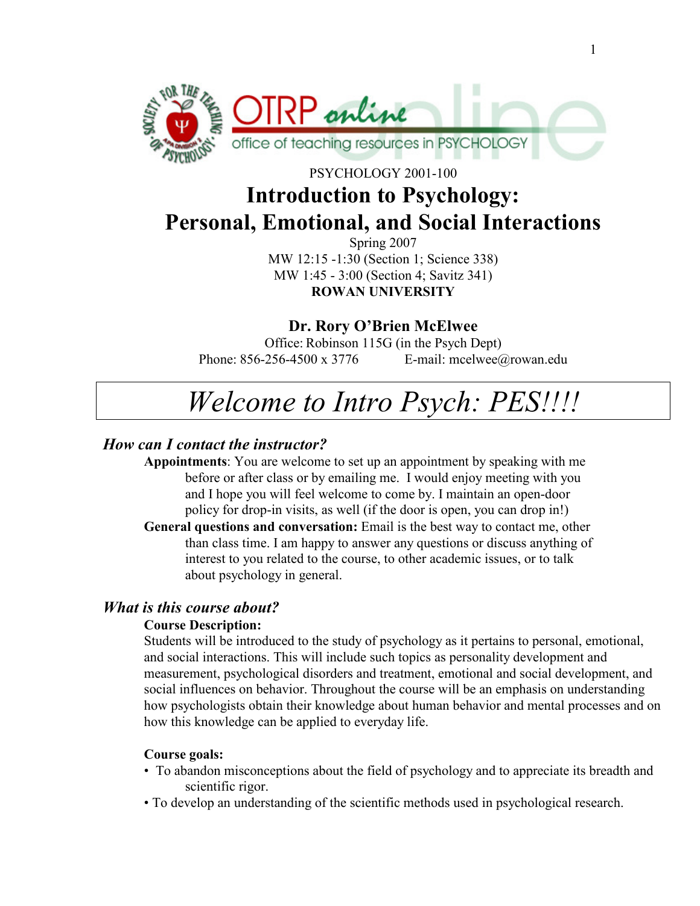

PSYCHOLOGY 2001-100

## Introduction to Psychology: Personal, Emotional, and Social Interactions

Spring 2007 MW 12:15 -1:30 (Section 1; Science 338) MW 1:45 - 3:00 (Section 4; Savitz 341) ROWAN UNIVERSITY

## Dr. Rory O'Brien McElwee

Office: Robinson 115G (in the Psych Dept) Phone: 856-256-4500 x 3776 E-mail: mcelwee@rowan.edu

# Welcome to Intro Psych: PES!!!!

### How can I contact the instructor?

Appointments: You are welcome to set up an appointment by speaking with me before or after class or by emailing me. I would enjoy meeting with you and I hope you will feel welcome to come by. I maintain an open-door policy for drop-in visits, as well (if the door is open, you can drop in!)

General questions and conversation: Email is the best way to contact me, other than class time. I am happy to answer any questions or discuss anything of interest to you related to the course, to other academic issues, or to talk about psychology in general.

### What is this course about?

#### Course Description:

Students will be introduced to the study of psychology as it pertains to personal, emotional, and social interactions. This will include such topics as personality development and measurement, psychological disorders and treatment, emotional and social development, and social influences on behavior. Throughout the course will be an emphasis on understanding how psychologists obtain their knowledge about human behavior and mental processes and on how this knowledge can be applied to everyday life.

#### Course goals:

- To abandon misconceptions about the field of psychology and to appreciate its breadth and scientific rigor.
- To develop an understanding of the scientific methods used in psychological research.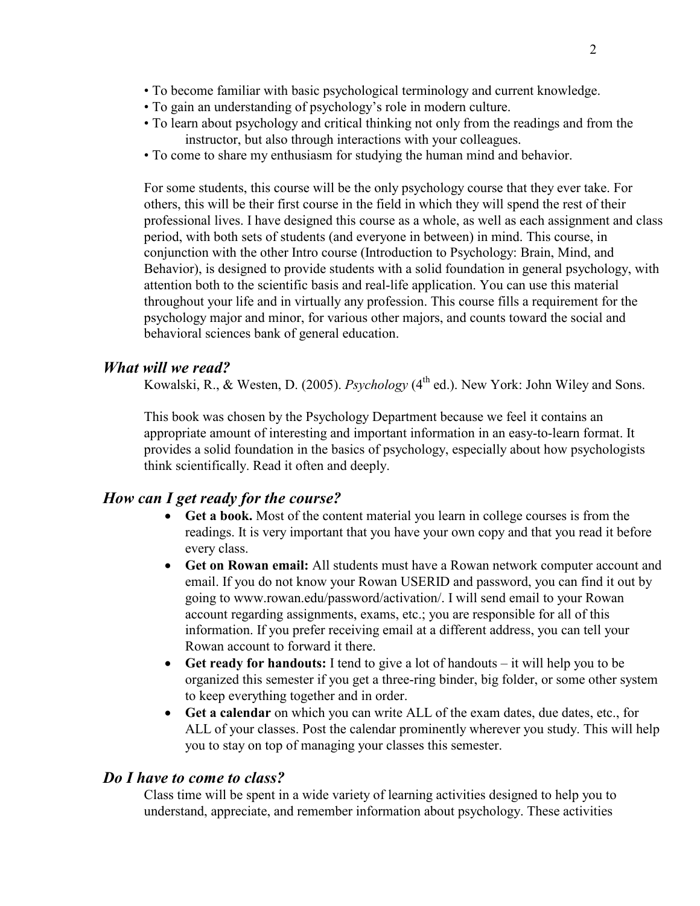- To become familiar with basic psychological terminology and current knowledge.
- To gain an understanding of psychology's role in modern culture.
- To learn about psychology and critical thinking not only from the readings and from the instructor, but also through interactions with your colleagues.
- To come to share my enthusiasm for studying the human mind and behavior.

For some students, this course will be the only psychology course that they ever take. For others, this will be their first course in the field in which they will spend the rest of their professional lives. I have designed this course as a whole, as well as each assignment and class period, with both sets of students (and everyone in between) in mind. This course, in conjunction with the other Intro course (Introduction to Psychology: Brain, Mind, and Behavior), is designed to provide students with a solid foundation in general psychology, with attention both to the scientific basis and real-life application. You can use this material throughout your life and in virtually any profession. This course fills a requirement for the psychology major and minor, for various other majors, and counts toward the social and behavioral sciences bank of general education.

#### What will we read?

Kowalski, R., & Westen, D. (2005). Psychology (4<sup>th</sup> ed.). New York: John Wiley and Sons.

This book was chosen by the Psychology Department because we feel it contains an appropriate amount of interesting and important information in an easy-to-learn format. It provides a solid foundation in the basics of psychology, especially about how psychologists think scientifically. Read it often and deeply.

#### How can I get ready for the course?

- Get a book. Most of the content material you learn in college courses is from the readings. It is very important that you have your own copy and that you read it before every class.
- Get on Rowan email: All students must have a Rowan network computer account and email. If you do not know your Rowan USERID and password, you can find it out by going to www.rowan.edu/password/activation/. I will send email to your Rowan account regarding assignments, exams, etc.; you are responsible for all of this information. If you prefer receiving email at a different address, you can tell your Rowan account to forward it there.
- Get ready for handouts: I tend to give a lot of handouts it will help you to be organized this semester if you get a three-ring binder, big folder, or some other system to keep everything together and in order.
- Get a calendar on which you can write ALL of the exam dates, due dates, etc., for ALL of your classes. Post the calendar prominently wherever you study. This will help you to stay on top of managing your classes this semester.

#### Do I have to come to class?

Class time will be spent in a wide variety of learning activities designed to help you to understand, appreciate, and remember information about psychology. These activities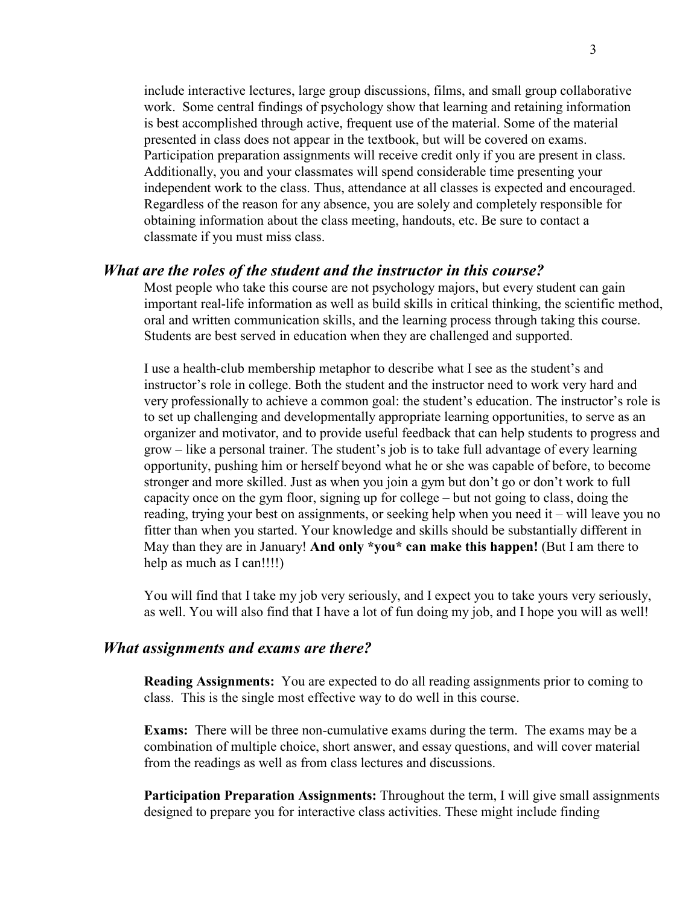include interactive lectures, large group discussions, films, and small group collaborative work. Some central findings of psychology show that learning and retaining information is best accomplished through active, frequent use of the material. Some of the material presented in class does not appear in the textbook, but will be covered on exams. Participation preparation assignments will receive credit only if you are present in class. Additionally, you and your classmates will spend considerable time presenting your independent work to the class. Thus, attendance at all classes is expected and encouraged. Regardless of the reason for any absence, you are solely and completely responsible for obtaining information about the class meeting, handouts, etc. Be sure to contact a classmate if you must miss class.

#### What are the roles of the student and the instructor in this course?

Most people who take this course are not psychology majors, but every student can gain important real-life information as well as build skills in critical thinking, the scientific method, oral and written communication skills, and the learning process through taking this course. Students are best served in education when they are challenged and supported.

I use a health-club membership metaphor to describe what I see as the student's and instructor's role in college. Both the student and the instructor need to work very hard and very professionally to achieve a common goal: the student's education. The instructor's role is to set up challenging and developmentally appropriate learning opportunities, to serve as an organizer and motivator, and to provide useful feedback that can help students to progress and grow – like a personal trainer. The student's job is to take full advantage of every learning opportunity, pushing him or herself beyond what he or she was capable of before, to become stronger and more skilled. Just as when you join a gym but don't go or don't work to full capacity once on the gym floor, signing up for college – but not going to class, doing the reading, trying your best on assignments, or seeking help when you need it – will leave you no fitter than when you started. Your knowledge and skills should be substantially different in May than they are in January! And only \*you\* can make this happen! (But I am there to help as much as I can!!!!)

You will find that I take my job very seriously, and I expect you to take yours very seriously, as well. You will also find that I have a lot of fun doing my job, and I hope you will as well!

#### What assignments and exams are there?

Reading Assignments: You are expected to do all reading assignments prior to coming to class. This is the single most effective way to do well in this course.

Exams: There will be three non-cumulative exams during the term. The exams may be a combination of multiple choice, short answer, and essay questions, and will cover material from the readings as well as from class lectures and discussions.

Participation Preparation Assignments: Throughout the term, I will give small assignments designed to prepare you for interactive class activities. These might include finding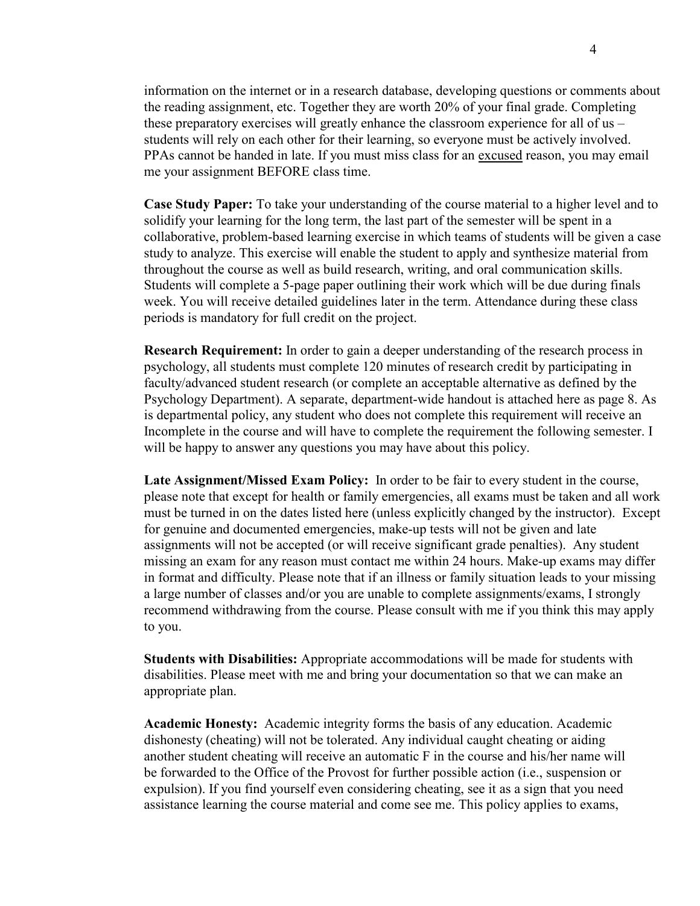information on the internet or in a research database, developing questions or comments about the reading assignment, etc. Together they are worth 20% of your final grade. Completing these preparatory exercises will greatly enhance the classroom experience for all of us – students will rely on each other for their learning, so everyone must be actively involved. PPAs cannot be handed in late. If you must miss class for an excused reason, you may email me your assignment BEFORE class time.

Case Study Paper: To take your understanding of the course material to a higher level and to solidify your learning for the long term, the last part of the semester will be spent in a collaborative, problem-based learning exercise in which teams of students will be given a case study to analyze. This exercise will enable the student to apply and synthesize material from throughout the course as well as build research, writing, and oral communication skills. Students will complete a 5-page paper outlining their work which will be due during finals week. You will receive detailed guidelines later in the term. Attendance during these class periods is mandatory for full credit on the project.

**Research Requirement:** In order to gain a deeper understanding of the research process in psychology, all students must complete 120 minutes of research credit by participating in faculty/advanced student research (or complete an acceptable alternative as defined by the Psychology Department). A separate, department-wide handout is attached here as page 8. As is departmental policy, any student who does not complete this requirement will receive an Incomplete in the course and will have to complete the requirement the following semester. I will be happy to answer any questions you may have about this policy.

Late Assignment/Missed Exam Policy: In order to be fair to every student in the course, please note that except for health or family emergencies, all exams must be taken and all work must be turned in on the dates listed here (unless explicitly changed by the instructor). Except for genuine and documented emergencies, make-up tests will not be given and late assignments will not be accepted (or will receive significant grade penalties). Any student missing an exam for any reason must contact me within 24 hours. Make-up exams may differ in format and difficulty. Please note that if an illness or family situation leads to your missing a large number of classes and/or you are unable to complete assignments/exams, I strongly recommend withdrawing from the course. Please consult with me if you think this may apply to you.

Students with Disabilities: Appropriate accommodations will be made for students with disabilities. Please meet with me and bring your documentation so that we can make an appropriate plan.

Academic Honesty: Academic integrity forms the basis of any education. Academic dishonesty (cheating) will not be tolerated. Any individual caught cheating or aiding another student cheating will receive an automatic F in the course and his/her name will be forwarded to the Office of the Provost for further possible action (i.e., suspension or expulsion). If you find yourself even considering cheating, see it as a sign that you need assistance learning the course material and come see me. This policy applies to exams,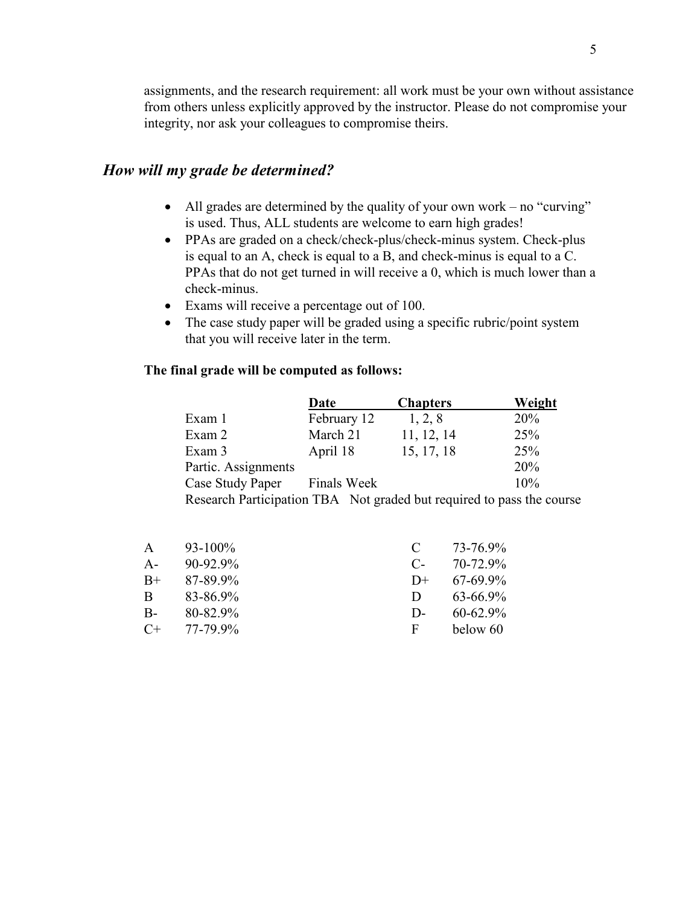assignments, and the research requirement: all work must be your own without assistance from others unless explicitly approved by the instructor. Please do not compromise your integrity, nor ask your colleagues to compromise theirs.

## How will my grade be determined?

- All grades are determined by the quality of your own work no "curving" is used. Thus, ALL students are welcome to earn high grades!
- PPAs are graded on a check/check-plus/check-minus system. Check-plus is equal to an A, check is equal to a B, and check-minus is equal to a C. PPAs that do not get turned in will receive a 0, which is much lower than a check-minus.
- Exams will receive a percentage out of 100.
- The case study paper will be graded using a specific rubric/point system that you will receive later in the term.

#### The final grade will be computed as follows:

|                                                                       | Date               | <b>Chapters</b> | Weight |
|-----------------------------------------------------------------------|--------------------|-----------------|--------|
| Exam 1                                                                | February 12        | 1, 2, 8         | 20%    |
| Exam 2                                                                | March 21           | 11, 12, 14      | 25%    |
| Exam 3                                                                | April 18           | 15, 17, 18      | 25%    |
| Partic. Assignments                                                   |                    |                 | 20%    |
| Case Study Paper                                                      | <b>Finals Week</b> |                 | 10%    |
| Research Participation TBA Not graded but required to pass the course |                    |                 |        |

|       | $93-100\%$   |              | 73-76.9%    |
|-------|--------------|--------------|-------------|
| $A -$ | $90-92.9\%$  | C-           | 70-72.9%    |
| $B+$  | 87-89.9%     | $1+$         | $67-699\%$  |
| B     | 83-86.9%     | Ð            | $63-669\%$  |
| B-    | $80 - 829$ % | $\mathsf{D}$ | $60 - 629%$ |
| $C+$  | 77-79.9%     | F            | below 60    |
|       |              |              |             |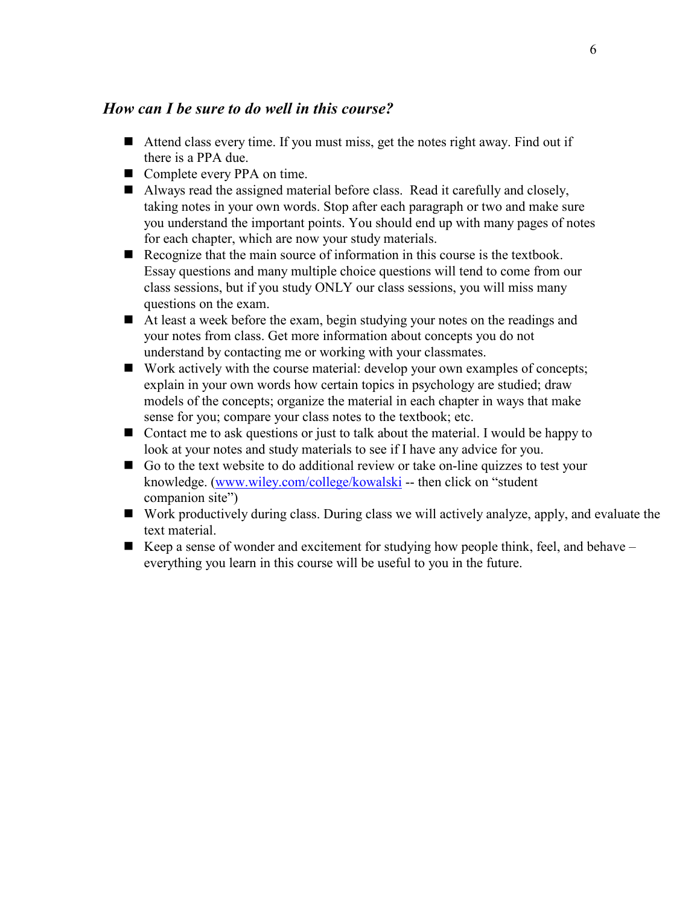## How can I be sure to do well in this course?

- Attend class every time. If you must miss, get the notes right away. Find out if there is a PPA due.
- Complete every PPA on time.
- Always read the assigned material before class. Read it carefully and closely, taking notes in your own words. Stop after each paragraph or two and make sure you understand the important points. You should end up with many pages of notes for each chapter, which are now your study materials.
- Recognize that the main source of information in this course is the textbook. Essay questions and many multiple choice questions will tend to come from our class sessions, but if you study ONLY our class sessions, you will miss many questions on the exam.
- At least a week before the exam, begin studying your notes on the readings and your notes from class. Get more information about concepts you do not understand by contacting me or working with your classmates.
- Work actively with the course material: develop your own examples of concepts; explain in your own words how certain topics in psychology are studied; draw models of the concepts; organize the material in each chapter in ways that make sense for you; compare your class notes to the textbook; etc.
- Contact me to ask questions or just to talk about the material. I would be happy to look at your notes and study materials to see if I have any advice for you.
- Go to the text website to do additional review or take on-line quizzes to test your knowledge. (www.wiley.com/college/kowalski -- then click on "student companion site")
- Work productively during class. During class we will actively analyze, apply, and evaluate the text material.
- Keep a sense of wonder and excitement for studying how people think, feel, and behave  $$ everything you learn in this course will be useful to you in the future.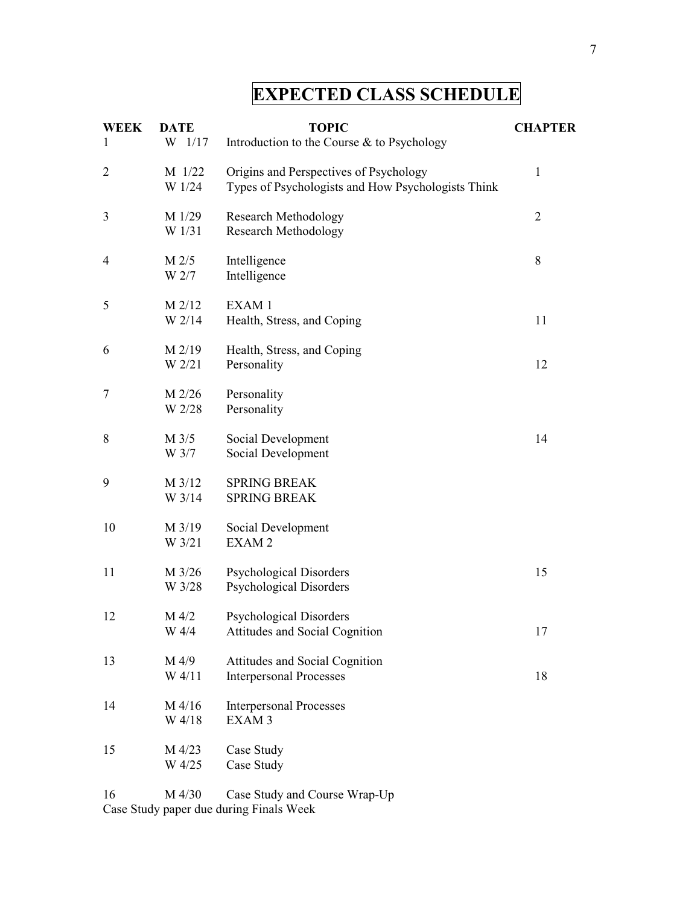## EXPECTED CLASS SCHEDULE

| <b>WEEK</b><br>1 | <b>DATE</b><br>$W$ 1/17 | <b>TOPIC</b><br>Introduction to the Course & to Psychology                                   | <b>CHAPTER</b> |
|------------------|-------------------------|----------------------------------------------------------------------------------------------|----------------|
| $\overline{2}$   | M 1/22<br>W 1/24        | Origins and Perspectives of Psychology<br>Types of Psychologists and How Psychologists Think | $\mathbf{1}$   |
| 3                | M 1/29<br>W 1/31        | <b>Research Methodology</b><br><b>Research Methodology</b>                                   | $\overline{2}$ |
| 4                | M 2/5<br>W 2/7          | Intelligence<br>Intelligence                                                                 | 8              |
| 5                | M 2/12<br>W 2/14        | EXAM 1<br>Health, Stress, and Coping                                                         | 11             |
| 6                | M 2/19<br>W 2/21        | Health, Stress, and Coping<br>Personality                                                    | 12             |
| 7                | M 2/26<br>W 2/28        | Personality<br>Personality                                                                   |                |
| 8                | M 3/5<br>W 3/7          | Social Development<br>Social Development                                                     | 14             |
| 9                | M 3/12<br>W 3/14        | <b>SPRING BREAK</b><br><b>SPRING BREAK</b>                                                   |                |
| 10               | M 3/19<br>W 3/21        | Social Development<br>EXAM <sub>2</sub>                                                      |                |
| 11               | M 3/26<br>W 3/28        | <b>Psychological Disorders</b><br><b>Psychological Disorders</b>                             | 15             |
| 12               | M 4/2<br>W 4/4          | <b>Psychological Disorders</b><br>Attitudes and Social Cognition                             | 17             |
| 13               | M 4/9<br>W 4/11         | Attitudes and Social Cognition<br><b>Interpersonal Processes</b>                             | 18             |
| 14               | M 4/16<br>W 4/18        | <b>Interpersonal Processes</b><br>EXAM <sub>3</sub>                                          |                |
| 15               | M 4/23<br>W 4/25        | Case Study<br>Case Study                                                                     |                |
| 16               | M 4/30                  | Case Study and Course Wrap-Up                                                                |                |

Case Study paper due during Finals Week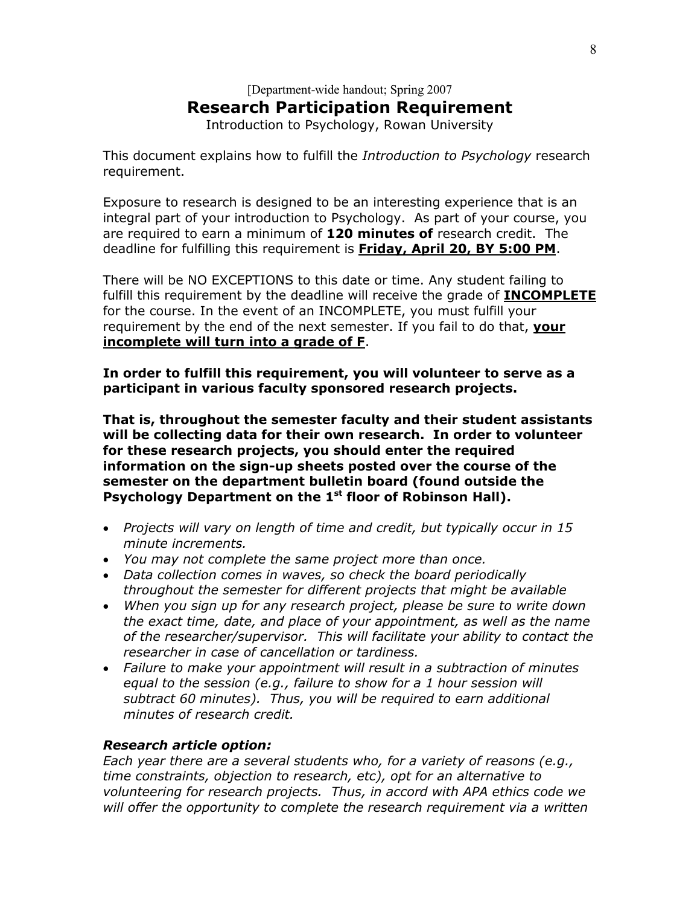## [Department-wide handout; Spring 2007 Research Participation Requirement

Introduction to Psychology, Rowan University

This document explains how to fulfill the *Introduction to Psychology* research requirement.

Exposure to research is designed to be an interesting experience that is an integral part of your introduction to Psychology. As part of your course, you are required to earn a minimum of 120 minutes of research credit. The deadline for fulfilling this requirement is Friday, April 20, BY 5:00 PM.

There will be NO EXCEPTIONS to this date or time. Any student failing to fulfill this requirement by the deadline will receive the grade of **INCOMPLETE** for the course. In the event of an INCOMPLETE, you must fulfill your requirement by the end of the next semester. If you fail to do that, your incomplete will turn into a grade of F.

In order to fulfill this requirement, you will volunteer to serve as a participant in various faculty sponsored research projects.

That is, throughout the semester faculty and their student assistants will be collecting data for their own research. In order to volunteer for these research projects, you should enter the required information on the sign-up sheets posted over the course of the semester on the department bulletin board (found outside the Psychology Department on the 1<sup>st</sup> floor of Robinson Hall).

- Projects will vary on length of time and credit, but typically occur in 15 minute increments.
- You may not complete the same project more than once.
- Data collection comes in waves, so check the board periodically throughout the semester for different projects that might be available
- When you sign up for any research project, please be sure to write down the exact time, date, and place of your appointment, as well as the name of the researcher/supervisor. This will facilitate your ability to contact the researcher in case of cancellation or tardiness.
- Failure to make your appointment will result in a subtraction of minutes equal to the session (e.g., failure to show for a 1 hour session will subtract 60 minutes). Thus, you will be required to earn additional minutes of research credit.

### Research article option:

Each year there are a several students who, for a variety of reasons (e.g., time constraints, objection to research, etc), opt for an alternative to volunteering for research projects. Thus, in accord with APA ethics code we will offer the opportunity to complete the research requirement via a written